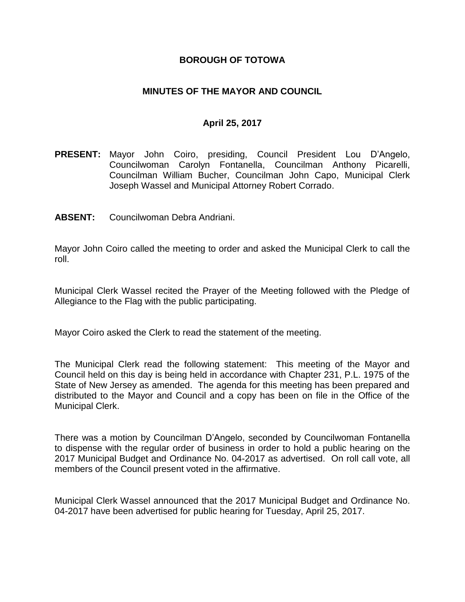#### **BOROUGH OF TOTOWA**

### **MINUTES OF THE MAYOR AND COUNCIL**

### **April 25, 2017**

- **PRESENT:** Mayor John Coiro, presiding, Council President Lou D'Angelo, Councilwoman Carolyn Fontanella, Councilman Anthony Picarelli, Councilman William Bucher, Councilman John Capo, Municipal Clerk Joseph Wassel and Municipal Attorney Robert Corrado.
- **ABSENT:** Councilwoman Debra Andriani.

Mayor John Coiro called the meeting to order and asked the Municipal Clerk to call the roll.

Municipal Clerk Wassel recited the Prayer of the Meeting followed with the Pledge of Allegiance to the Flag with the public participating.

Mayor Coiro asked the Clerk to read the statement of the meeting.

The Municipal Clerk read the following statement: This meeting of the Mayor and Council held on this day is being held in accordance with Chapter 231, P.L. 1975 of the State of New Jersey as amended. The agenda for this meeting has been prepared and distributed to the Mayor and Council and a copy has been on file in the Office of the Municipal Clerk.

There was a motion by Councilman D'Angelo, seconded by Councilwoman Fontanella to dispense with the regular order of business in order to hold a public hearing on the 2017 Municipal Budget and Ordinance No. 04-2017 as advertised. On roll call vote, all members of the Council present voted in the affirmative.

Municipal Clerk Wassel announced that the 2017 Municipal Budget and Ordinance No. 04-2017 have been advertised for public hearing for Tuesday, April 25, 2017.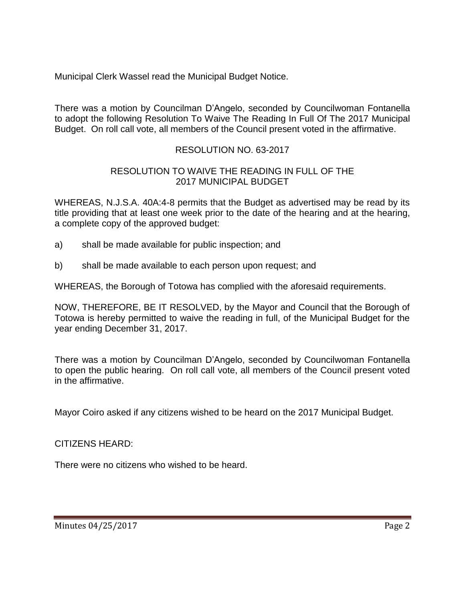Municipal Clerk Wassel read the Municipal Budget Notice.

There was a motion by Councilman D'Angelo, seconded by Councilwoman Fontanella to adopt the following Resolution To Waive The Reading In Full Of The 2017 Municipal Budget. On roll call vote, all members of the Council present voted in the affirmative.

# RESOLUTION NO. 63-2017

### RESOLUTION TO WAIVE THE READING IN FULL OF THE 2017 MUNICIPAL BUDGET

WHEREAS, N.J.S.A. 40A:4-8 permits that the Budget as advertised may be read by its title providing that at least one week prior to the date of the hearing and at the hearing, a complete copy of the approved budget:

- a) shall be made available for public inspection; and
- b) shall be made available to each person upon request; and

WHEREAS, the Borough of Totowa has complied with the aforesaid requirements.

NOW, THEREFORE, BE IT RESOLVED, by the Mayor and Council that the Borough of Totowa is hereby permitted to waive the reading in full, of the Municipal Budget for the year ending December 31, 2017.

There was a motion by Councilman D'Angelo, seconded by Councilwoman Fontanella to open the public hearing. On roll call vote, all members of the Council present voted in the affirmative.

Mayor Coiro asked if any citizens wished to be heard on the 2017 Municipal Budget.

CITIZENS HEARD:

There were no citizens who wished to be heard.

Minutes 04/25/2017 Page 2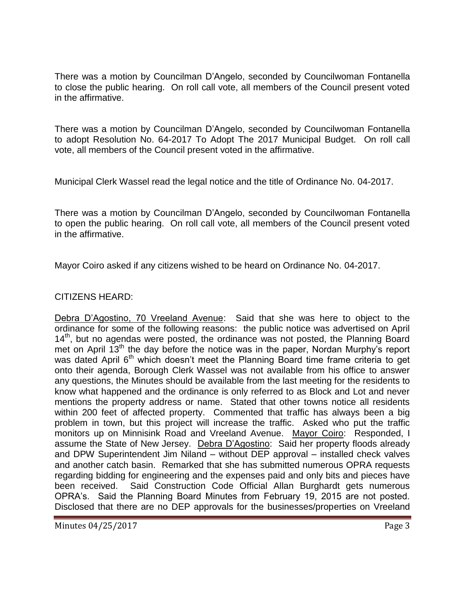There was a motion by Councilman D'Angelo, seconded by Councilwoman Fontanella to close the public hearing. On roll call vote, all members of the Council present voted in the affirmative.

There was a motion by Councilman D'Angelo, seconded by Councilwoman Fontanella to adopt Resolution No. 64-2017 To Adopt The 2017 Municipal Budget. On roll call vote, all members of the Council present voted in the affirmative.

Municipal Clerk Wassel read the legal notice and the title of Ordinance No. 04-2017.

There was a motion by Councilman D'Angelo, seconded by Councilwoman Fontanella to open the public hearing. On roll call vote, all members of the Council present voted in the affirmative.

Mayor Coiro asked if any citizens wished to be heard on Ordinance No. 04-2017.

# CITIZENS HEARD:

Debra D'Agostino, 70 Vreeland Avenue: Said that she was here to object to the ordinance for some of the following reasons: the public notice was advertised on April 14<sup>th</sup>, but no agendas were posted, the ordinance was not posted, the Planning Board met on April 13<sup>th</sup> the day before the notice was in the paper, Nordan Murphy's report was dated April 6<sup>th</sup> which doesn't meet the Planning Board time frame criteria to get onto their agenda, Borough Clerk Wassel was not available from his office to answer any questions, the Minutes should be available from the last meeting for the residents to know what happened and the ordinance is only referred to as Block and Lot and never mentions the property address or name. Stated that other towns notice all residents within 200 feet of affected property. Commented that traffic has always been a big problem in town, but this project will increase the traffic. Asked who put the traffic monitors up on Minnisink Road and Vreeland Avenue. Mayor Coiro: Responded, I assume the State of New Jersey. Debra D'Agostino: Said her property floods already and DPW Superintendent Jim Niland – without DEP approval – installed check valves and another catch basin. Remarked that she has submitted numerous OPRA requests regarding bidding for engineering and the expenses paid and only bits and pieces have been received. Said Construction Code Official Allan Burghardt gets numerous OPRA's. Said the Planning Board Minutes from February 19, 2015 are not posted. Disclosed that there are no DEP approvals for the businesses/properties on Vreeland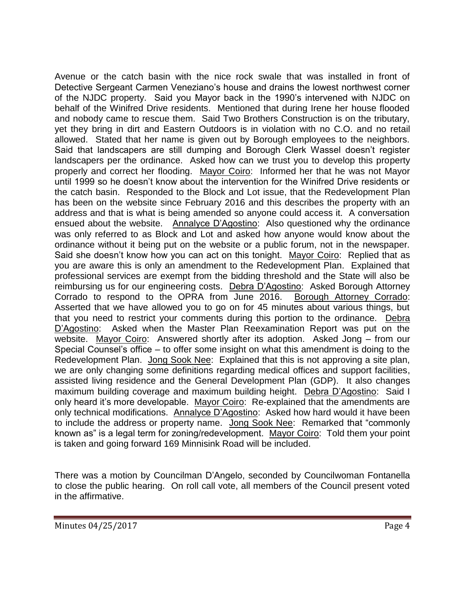Avenue or the catch basin with the nice rock swale that was installed in front of Detective Sergeant Carmen Veneziano's house and drains the lowest northwest corner of the NJDC property. Said you Mayor back in the 1990's intervened with NJDC on behalf of the Winifred Drive residents. Mentioned that during Irene her house flooded and nobody came to rescue them. Said Two Brothers Construction is on the tributary, yet they bring in dirt and Eastern Outdoors is in violation with no C.O. and no retail allowed. Stated that her name is given out by Borough employees to the neighbors. Said that landscapers are still dumping and Borough Clerk Wassel doesn't register landscapers per the ordinance. Asked how can we trust you to develop this property properly and correct her flooding. Mayor Coiro: Informed her that he was not Mayor until 1999 so he doesn't know about the intervention for the Winifred Drive residents or the catch basin. Responded to the Block and Lot issue, that the Redevelopment Plan has been on the website since February 2016 and this describes the property with an address and that is what is being amended so anyone could access it. A conversation ensued about the website. Annalyce D'Agostino: Also questioned why the ordinance was only referred to as Block and Lot and asked how anyone would know about the ordinance without it being put on the website or a public forum, not in the newspaper. Said she doesn't know how you can act on this tonight. Mayor Coiro: Replied that as you are aware this is only an amendment to the Redevelopment Plan. Explained that professional services are exempt from the bidding threshold and the State will also be reimbursing us for our engineering costs. Debra D'Agostino: Asked Borough Attorney Corrado to respond to the OPRA from June 2016. Borough Attorney Corrado: Asserted that we have allowed you to go on for 45 minutes about various things, but that you need to restrict your comments during this portion to the ordinance. Debra D'Agostino: Asked when the Master Plan Reexamination Report was put on the website. Mayor Coiro: Answered shortly after its adoption. Asked Jong – from our Special Counsel's office – to offer some insight on what this amendment is doing to the Redevelopment Plan. Jong Sook Nee: Explained that this is not approving a site plan, we are only changing some definitions regarding medical offices and support facilities, assisted living residence and the General Development Plan (GDP). It also changes maximum building coverage and maximum building height. Debra D'Agostino: Said I only heard it's more developable. Mayor Coiro: Re-explained that the amendments are only technical modifications. Annalyce D'Agostino: Asked how hard would it have been to include the address or property name. Jong Sook Nee: Remarked that "commonly known as" is a legal term for zoning/redevelopment. Mayor Coiro: Told them your point is taken and going forward 169 Minnisink Road will be included.

There was a motion by Councilman D'Angelo, seconded by Councilwoman Fontanella to close the public hearing. On roll call vote, all members of the Council present voted in the affirmative.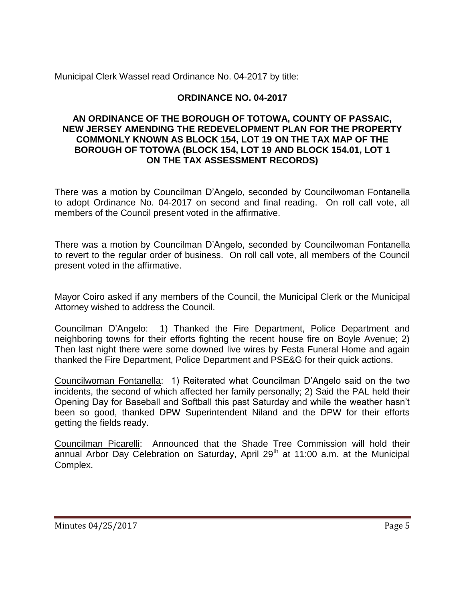Municipal Clerk Wassel read Ordinance No. 04-2017 by title:

## **ORDINANCE NO. 04-2017**

### **AN ORDINANCE OF THE BOROUGH OF TOTOWA, COUNTY OF PASSAIC, NEW JERSEY AMENDING THE REDEVELOPMENT PLAN FOR THE PROPERTY COMMONLY KNOWN AS BLOCK 154, LOT 19 ON THE TAX MAP OF THE BOROUGH OF TOTOWA (BLOCK 154, LOT 19 AND BLOCK 154.01, LOT 1 ON THE TAX ASSESSMENT RECORDS)**

There was a motion by Councilman D'Angelo, seconded by Councilwoman Fontanella to adopt Ordinance No. 04-2017 on second and final reading. On roll call vote, all members of the Council present voted in the affirmative.

There was a motion by Councilman D'Angelo, seconded by Councilwoman Fontanella to revert to the regular order of business. On roll call vote, all members of the Council present voted in the affirmative.

Mayor Coiro asked if any members of the Council, the Municipal Clerk or the Municipal Attorney wished to address the Council.

Councilman D'Angelo: 1) Thanked the Fire Department, Police Department and neighboring towns for their efforts fighting the recent house fire on Boyle Avenue; 2) Then last night there were some downed live wires by Festa Funeral Home and again thanked the Fire Department, Police Department and PSE&G for their quick actions.

Councilwoman Fontanella: 1) Reiterated what Councilman D'Angelo said on the two incidents, the second of which affected her family personally; 2) Said the PAL held their Opening Day for Baseball and Softball this past Saturday and while the weather hasn't been so good, thanked DPW Superintendent Niland and the DPW for their efforts getting the fields ready.

Councilman Picarelli: Announced that the Shade Tree Commission will hold their annual Arbor Day Celebration on Saturday, April 29<sup>th</sup> at 11:00 a.m. at the Municipal Complex.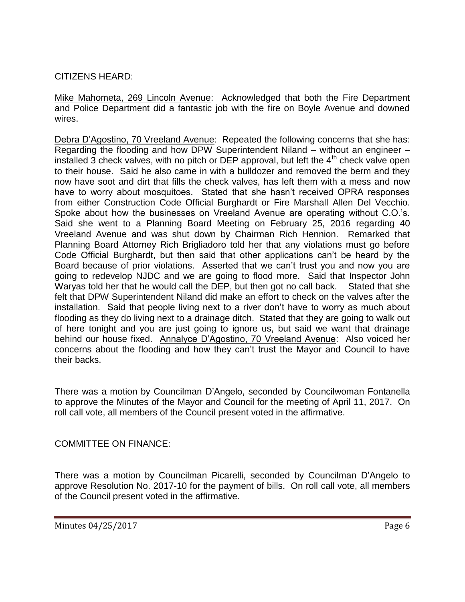## CITIZENS HEARD:

Mike Mahometa, 269 Lincoln Avenue: Acknowledged that both the Fire Department and Police Department did a fantastic job with the fire on Boyle Avenue and downed wires.

Debra D'Agostino, 70 Vreeland Avenue: Repeated the following concerns that she has: Regarding the flooding and how DPW Superintendent Niland – without an engineer – installed 3 check valves, with no pitch or DEP approval, but left the  $4<sup>th</sup>$  check valve open to their house. Said he also came in with a bulldozer and removed the berm and they now have soot and dirt that fills the check valves, has left them with a mess and now have to worry about mosquitoes. Stated that she hasn't received OPRA responses from either Construction Code Official Burghardt or Fire Marshall Allen Del Vecchio. Spoke about how the businesses on Vreeland Avenue are operating without C.O.'s. Said she went to a Planning Board Meeting on February 25, 2016 regarding 40 Vreeland Avenue and was shut down by Chairman Rich Hennion. Remarked that Planning Board Attorney Rich Brigliadoro told her that any violations must go before Code Official Burghardt, but then said that other applications can't be heard by the Board because of prior violations. Asserted that we can't trust you and now you are going to redevelop NJDC and we are going to flood more. Said that Inspector John Waryas told her that he would call the DEP, but then got no call back. Stated that she felt that DPW Superintendent Niland did make an effort to check on the valves after the installation. Said that people living next to a river don't have to worry as much about flooding as they do living next to a drainage ditch. Stated that they are going to walk out of here tonight and you are just going to ignore us, but said we want that drainage behind our house fixed. Annalyce D'Agostino, 70 Vreeland Avenue: Also voiced her concerns about the flooding and how they can't trust the Mayor and Council to have their backs.

There was a motion by Councilman D'Angelo, seconded by Councilwoman Fontanella to approve the Minutes of the Mayor and Council for the meeting of April 11, 2017. On roll call vote, all members of the Council present voted in the affirmative.

## COMMITTEE ON FINANCE:

There was a motion by Councilman Picarelli, seconded by Councilman D'Angelo to approve Resolution No. 2017-10 for the payment of bills. On roll call vote, all members of the Council present voted in the affirmative.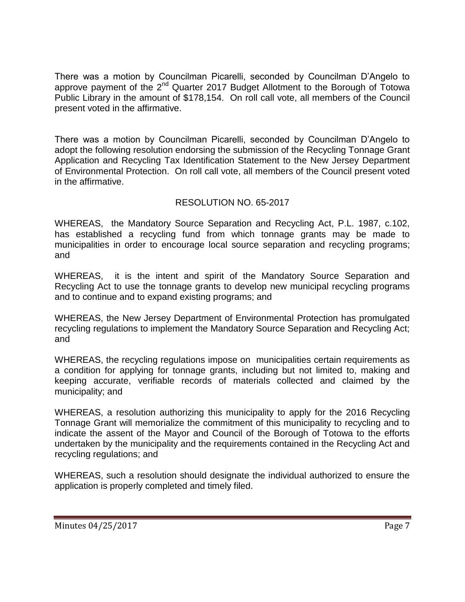There was a motion by Councilman Picarelli, seconded by Councilman D'Angelo to approve payment of the  $2^{nd}$  Quarter 2017 Budget Allotment to the Borough of Totowa Public Library in the amount of \$178,154. On roll call vote, all members of the Council present voted in the affirmative.

There was a motion by Councilman Picarelli, seconded by Councilman D'Angelo to adopt the following resolution endorsing the submission of the Recycling Tonnage Grant Application and Recycling Tax Identification Statement to the New Jersey Department of Environmental Protection. On roll call vote, all members of the Council present voted in the affirmative.

## RESOLUTION NO. 65-2017

WHEREAS, the Mandatory Source Separation and Recycling Act, P.L. 1987, c.102, has established a recycling fund from which tonnage grants may be made to municipalities in order to encourage local source separation and recycling programs; and

WHEREAS, it is the intent and spirit of the Mandatory Source Separation and Recycling Act to use the tonnage grants to develop new municipal recycling programs and to continue and to expand existing programs; and

WHEREAS, the New Jersey Department of Environmental Protection has promulgated recycling regulations to implement the Mandatory Source Separation and Recycling Act; and

WHEREAS, the recycling regulations impose on municipalities certain requirements as a condition for applying for tonnage grants, including but not limited to, making and keeping accurate, verifiable records of materials collected and claimed by the municipality; and

WHEREAS, a resolution authorizing this municipality to apply for the 2016 Recycling Tonnage Grant will memorialize the commitment of this municipality to recycling and to indicate the assent of the Mayor and Council of the Borough of Totowa to the efforts undertaken by the municipality and the requirements contained in the Recycling Act and recycling regulations; and

WHEREAS, such a resolution should designate the individual authorized to ensure the application is properly completed and timely filed.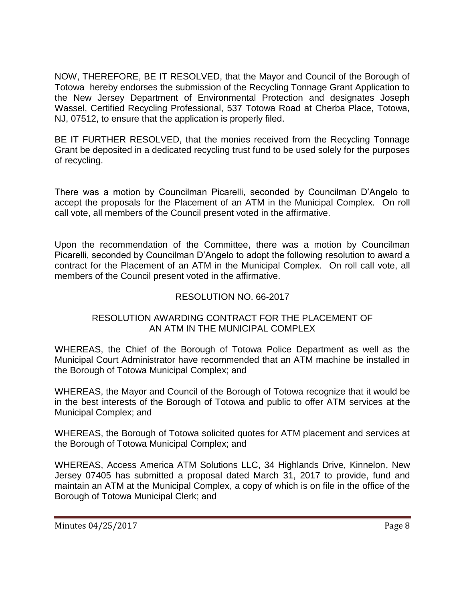NOW, THEREFORE, BE IT RESOLVED, that the Mayor and Council of the Borough of Totowa hereby endorses the submission of the Recycling Tonnage Grant Application to the New Jersey Department of Environmental Protection and designates Joseph Wassel, Certified Recycling Professional, 537 Totowa Road at Cherba Place, Totowa, NJ, 07512, to ensure that the application is properly filed.

BE IT FURTHER RESOLVED, that the monies received from the Recycling Tonnage Grant be deposited in a dedicated recycling trust fund to be used solely for the purposes of recycling.

There was a motion by Councilman Picarelli, seconded by Councilman D'Angelo to accept the proposals for the Placement of an ATM in the Municipal Complex. On roll call vote, all members of the Council present voted in the affirmative.

Upon the recommendation of the Committee, there was a motion by Councilman Picarelli, seconded by Councilman D'Angelo to adopt the following resolution to award a contract for the Placement of an ATM in the Municipal Complex. On roll call vote, all members of the Council present voted in the affirmative.

# RESOLUTION NO. 66-2017

## RESOLUTION AWARDING CONTRACT FOR THE PLACEMENT OF AN ATM IN THE MUNICIPAL COMPLEX

WHEREAS, the Chief of the Borough of Totowa Police Department as well as the Municipal Court Administrator have recommended that an ATM machine be installed in the Borough of Totowa Municipal Complex; and

WHEREAS, the Mayor and Council of the Borough of Totowa recognize that it would be in the best interests of the Borough of Totowa and public to offer ATM services at the Municipal Complex; and

WHEREAS, the Borough of Totowa solicited quotes for ATM placement and services at the Borough of Totowa Municipal Complex; and

WHEREAS, Access America ATM Solutions LLC, 34 Highlands Drive, Kinnelon, New Jersey 07405 has submitted a proposal dated March 31, 2017 to provide, fund and maintain an ATM at the Municipal Complex, a copy of which is on file in the office of the Borough of Totowa Municipal Clerk; and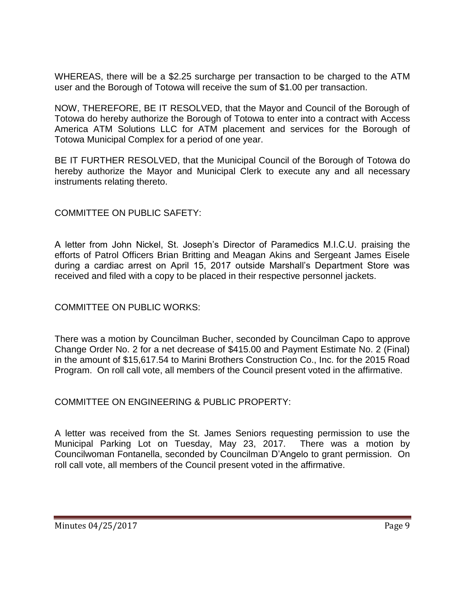WHEREAS, there will be a \$2.25 surcharge per transaction to be charged to the ATM user and the Borough of Totowa will receive the sum of \$1.00 per transaction.

NOW, THEREFORE, BE IT RESOLVED, that the Mayor and Council of the Borough of Totowa do hereby authorize the Borough of Totowa to enter into a contract with Access America ATM Solutions LLC for ATM placement and services for the Borough of Totowa Municipal Complex for a period of one year.

BE IT FURTHER RESOLVED, that the Municipal Council of the Borough of Totowa do hereby authorize the Mayor and Municipal Clerk to execute any and all necessary instruments relating thereto.

COMMITTEE ON PUBLIC SAFETY:

A letter from John Nickel, St. Joseph's Director of Paramedics M.I.C.U. praising the efforts of Patrol Officers Brian Britting and Meagan Akins and Sergeant James Eisele during a cardiac arrest on April 15, 2017 outside Marshall's Department Store was received and filed with a copy to be placed in their respective personnel jackets.

COMMITTEE ON PUBLIC WORKS:

There was a motion by Councilman Bucher, seconded by Councilman Capo to approve Change Order No. 2 for a net decrease of \$415.00 and Payment Estimate No. 2 (Final) in the amount of \$15,617.54 to Marini Brothers Construction Co., Inc. for the 2015 Road Program. On roll call vote, all members of the Council present voted in the affirmative.

COMMITTEE ON ENGINEERING & PUBLIC PROPERTY:

A letter was received from the St. James Seniors requesting permission to use the Municipal Parking Lot on Tuesday, May 23, 2017. There was a motion by Councilwoman Fontanella, seconded by Councilman D'Angelo to grant permission. On roll call vote, all members of the Council present voted in the affirmative.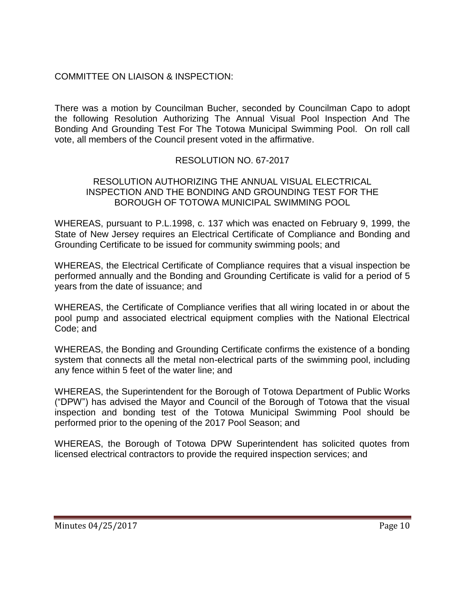## COMMITTEE ON LIAISON & INSPECTION:

There was a motion by Councilman Bucher, seconded by Councilman Capo to adopt the following Resolution Authorizing The Annual Visual Pool Inspection And The Bonding And Grounding Test For The Totowa Municipal Swimming Pool. On roll call vote, all members of the Council present voted in the affirmative.

## RESOLUTION NO. 67-2017

#### RESOLUTION AUTHORIZING THE ANNUAL VISUAL ELECTRICAL INSPECTION AND THE BONDING AND GROUNDING TEST FOR THE BOROUGH OF TOTOWA MUNICIPAL SWIMMING POOL

WHEREAS, pursuant to P.L.1998, c. 137 which was enacted on February 9, 1999, the State of New Jersey requires an Electrical Certificate of Compliance and Bonding and Grounding Certificate to be issued for community swimming pools; and

WHEREAS, the Electrical Certificate of Compliance requires that a visual inspection be performed annually and the Bonding and Grounding Certificate is valid for a period of 5 years from the date of issuance; and

WHEREAS, the Certificate of Compliance verifies that all wiring located in or about the pool pump and associated electrical equipment complies with the National Electrical Code; and

WHEREAS, the Bonding and Grounding Certificate confirms the existence of a bonding system that connects all the metal non-electrical parts of the swimming pool, including any fence within 5 feet of the water line; and

WHEREAS, the Superintendent for the Borough of Totowa Department of Public Works ("DPW") has advised the Mayor and Council of the Borough of Totowa that the visual inspection and bonding test of the Totowa Municipal Swimming Pool should be performed prior to the opening of the 2017 Pool Season; and

WHEREAS, the Borough of Totowa DPW Superintendent has solicited quotes from licensed electrical contractors to provide the required inspection services; and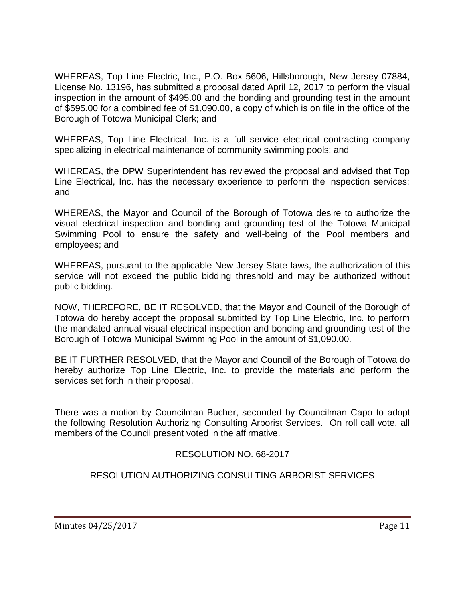WHEREAS, Top Line Electric, Inc., P.O. Box 5606, Hillsborough, New Jersey 07884, License No. 13196, has submitted a proposal dated April 12, 2017 to perform the visual inspection in the amount of \$495.00 and the bonding and grounding test in the amount of \$595.00 for a combined fee of \$1,090.00, a copy of which is on file in the office of the Borough of Totowa Municipal Clerk; and

WHEREAS, Top Line Electrical, Inc. is a full service electrical contracting company specializing in electrical maintenance of community swimming pools; and

WHEREAS, the DPW Superintendent has reviewed the proposal and advised that Top Line Electrical, Inc. has the necessary experience to perform the inspection services; and

WHEREAS, the Mayor and Council of the Borough of Totowa desire to authorize the visual electrical inspection and bonding and grounding test of the Totowa Municipal Swimming Pool to ensure the safety and well-being of the Pool members and employees; and

WHEREAS, pursuant to the applicable New Jersey State laws, the authorization of this service will not exceed the public bidding threshold and may be authorized without public bidding.

NOW, THEREFORE, BE IT RESOLVED, that the Mayor and Council of the Borough of Totowa do hereby accept the proposal submitted by Top Line Electric, Inc. to perform the mandated annual visual electrical inspection and bonding and grounding test of the Borough of Totowa Municipal Swimming Pool in the amount of \$1,090.00.

BE IT FURTHER RESOLVED, that the Mayor and Council of the Borough of Totowa do hereby authorize Top Line Electric, Inc. to provide the materials and perform the services set forth in their proposal.

There was a motion by Councilman Bucher, seconded by Councilman Capo to adopt the following Resolution Authorizing Consulting Arborist Services. On roll call vote, all members of the Council present voted in the affirmative.

## RESOLUTION NO. 68-2017

# RESOLUTION AUTHORIZING CONSULTING ARBORIST SERVICES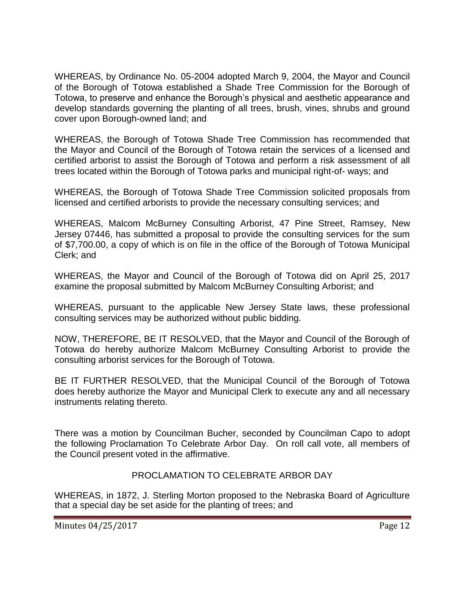WHEREAS, by Ordinance No. 05-2004 adopted March 9, 2004, the Mayor and Council of the Borough of Totowa established a Shade Tree Commission for the Borough of Totowa, to preserve and enhance the Borough's physical and aesthetic appearance and develop standards governing the planting of all trees, brush, vines, shrubs and ground cover upon Borough-owned land; and

WHEREAS, the Borough of Totowa Shade Tree Commission has recommended that the Mayor and Council of the Borough of Totowa retain the services of a licensed and certified arborist to assist the Borough of Totowa and perform a risk assessment of all trees located within the Borough of Totowa parks and municipal right-of- ways; and

WHEREAS, the Borough of Totowa Shade Tree Commission solicited proposals from licensed and certified arborists to provide the necessary consulting services; and

WHEREAS, Malcom McBurney Consulting Arborist, 47 Pine Street, Ramsey, New Jersey 07446, has submitted a proposal to provide the consulting services for the sum of \$7,700.00, a copy of which is on file in the office of the Borough of Totowa Municipal Clerk; and

WHEREAS, the Mayor and Council of the Borough of Totowa did on April 25, 2017 examine the proposal submitted by Malcom McBurney Consulting Arborist; and

WHEREAS, pursuant to the applicable New Jersey State laws, these professional consulting services may be authorized without public bidding.

NOW, THEREFORE, BE IT RESOLVED, that the Mayor and Council of the Borough of Totowa do hereby authorize Malcom McBurney Consulting Arborist to provide the consulting arborist services for the Borough of Totowa.

BE IT FURTHER RESOLVED, that the Municipal Council of the Borough of Totowa does hereby authorize the Mayor and Municipal Clerk to execute any and all necessary instruments relating thereto.

There was a motion by Councilman Bucher, seconded by Councilman Capo to adopt the following Proclamation To Celebrate Arbor Day. On roll call vote, all members of the Council present voted in the affirmative.

## PROCLAMATION TO CELEBRATE ARBOR DAY

WHEREAS, in 1872, J. Sterling Morton proposed to the Nebraska Board of Agriculture that a special day be set aside for the planting of trees; and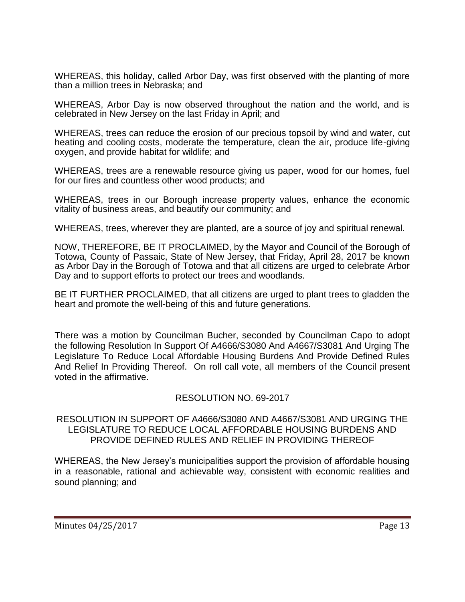WHEREAS, this holiday, called Arbor Day, was first observed with the planting of more than a million trees in Nebraska; and

WHEREAS, Arbor Day is now observed throughout the nation and the world, and is celebrated in New Jersey on the last Friday in April; and

WHEREAS, trees can reduce the erosion of our precious topsoil by wind and water, cut heating and cooling costs, moderate the temperature, clean the air, produce life-giving oxygen, and provide habitat for wildlife; and

WHEREAS, trees are a renewable resource giving us paper, wood for our homes, fuel for our fires and countless other wood products; and

WHEREAS, trees in our Borough increase property values, enhance the economic vitality of business areas, and beautify our community; and

WHEREAS, trees, wherever they are planted, are a source of joy and spiritual renewal.

NOW, THEREFORE, BE IT PROCLAIMED, by the Mayor and Council of the Borough of Totowa, County of Passaic, State of New Jersey, that Friday, April 28, 2017 be known as Arbor Day in the Borough of Totowa and that all citizens are urged to celebrate Arbor Day and to support efforts to protect our trees and woodlands.

BE IT FURTHER PROCLAIMED, that all citizens are urged to plant trees to gladden the heart and promote the well-being of this and future generations.

There was a motion by Councilman Bucher, seconded by Councilman Capo to adopt the following Resolution In Support Of A4666/S3080 And A4667/S3081 And Urging The Legislature To Reduce Local Affordable Housing Burdens And Provide Defined Rules And Relief In Providing Thereof. On roll call vote, all members of the Council present voted in the affirmative.

#### RESOLUTION NO. 69-2017

#### RESOLUTION IN SUPPORT OF A4666/S3080 AND A4667/S3081 AND URGING THE LEGISLATURE TO REDUCE LOCAL AFFORDABLE HOUSING BURDENS AND PROVIDE DEFINED RULES AND RELIEF IN PROVIDING THEREOF

WHEREAS, the New Jersey's municipalities support the provision of affordable housing in a reasonable, rational and achievable way, consistent with economic realities and sound planning; and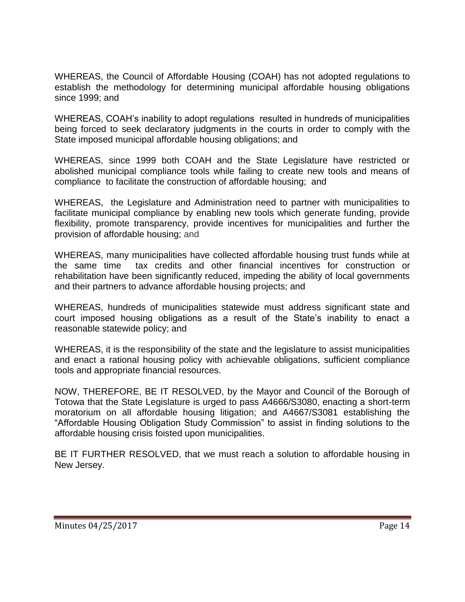WHEREAS, the Council of Affordable Housing (COAH) has not adopted regulations to establish the methodology for determining municipal affordable housing obligations since 1999; and

WHEREAS, COAH's inability to adopt regulations resulted in hundreds of municipalities being forced to seek declaratory judgments in the courts in order to comply with the State imposed municipal affordable housing obligations; and

WHEREAS, since 1999 both COAH and the State Legislature have restricted or abolished municipal compliance tools while failing to create new tools and means of compliance to facilitate the construction of affordable housing; and

WHEREAS, the Legislature and Administration need to partner with municipalities to facilitate municipal compliance by enabling new tools which generate funding, provide flexibility, promote transparency, provide incentives for municipalities and further the provision of affordable housing; and

WHEREAS, many municipalities have collected affordable housing trust funds while at the same time tax credits and other financial incentives for construction or rehabilitation have been significantly reduced, impeding the ability of local governments and their partners to advance affordable housing projects; and

WHEREAS, hundreds of municipalities statewide must address significant state and court imposed housing obligations as a result of the State's inability to enact a reasonable statewide policy; and

WHEREAS, it is the responsibility of the state and the legislature to assist municipalities and enact a rational housing policy with achievable obligations, sufficient compliance tools and appropriate financial resources.

NOW, THEREFORE, BE IT RESOLVED, by the Mayor and Council of the Borough of Totowa that the State Legislature is urged to pass A4666/S3080, enacting a short-term moratorium on all affordable housing litigation; and A4667/S3081 establishing the "Affordable Housing Obligation Study Commission" to assist in finding solutions to the affordable housing crisis foisted upon municipalities.

BE IT FURTHER RESOLVED, that we must reach a solution to affordable housing in New Jersey.